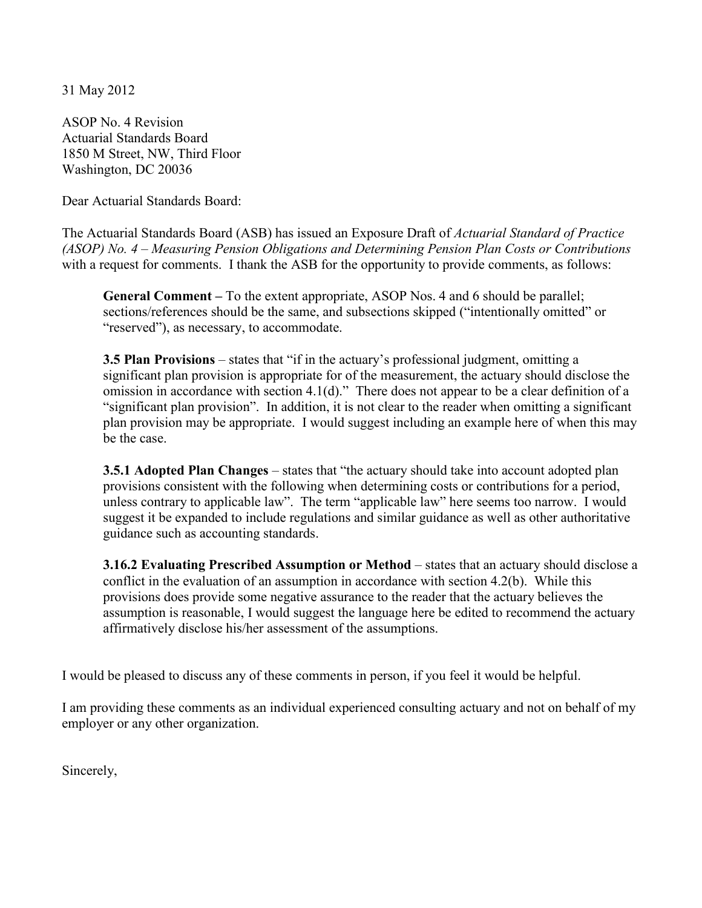31 May 2012

ASOP No. 4 Revision Actuarial Standards Board 1850 M Street, NW, Third Floor Washington, DC 20036

Dear Actuarial Standards Board:

The Actuarial Standards Board (ASB) has issued an Exposure Draft of *Actuarial Standard of Practice (ASOP) No. 4 – Measuring Pension Obligations and Determining Pension Plan Costs or Contributions*  with a request for comments. I thank the ASB for the opportunity to provide comments, as follows:

**General Comment –** To the extent appropriate, ASOP Nos. 4 and 6 should be parallel; sections/references should be the same, and subsections skipped ("intentionally omitted" or "reserved"), as necessary, to accommodate.

**3.5 Plan Provisions** – states that "if in the actuary's professional judgment, omitting a significant plan provision is appropriate for of the measurement, the actuary should disclose the omission in accordance with section 4.1(d)." There does not appear to be a clear definition of a "significant plan provision". In addition, it is not clear to the reader when omitting a significant plan provision may be appropriate. I would suggest including an example here of when this may be the case.

**3.5.1 Adopted Plan Changes** – states that "the actuary should take into account adopted plan provisions consistent with the following when determining costs or contributions for a period, unless contrary to applicable law". The term "applicable law" here seems too narrow. I would suggest it be expanded to include regulations and similar guidance as well as other authoritative guidance such as accounting standards.

**3.16.2 Evaluating Prescribed Assumption or Method** – states that an actuary should disclose a conflict in the evaluation of an assumption in accordance with section 4.2(b). While this provisions does provide some negative assurance to the reader that the actuary believes the assumption is reasonable, I would suggest the language here be edited to recommend the actuary affirmatively disclose his/her assessment of the assumptions.

I would be pleased to discuss any of these comments in person, if you feel it would be helpful.

I am providing these comments as an individual experienced consulting actuary and not on behalf of my employer or any other organization.

Sincerely,